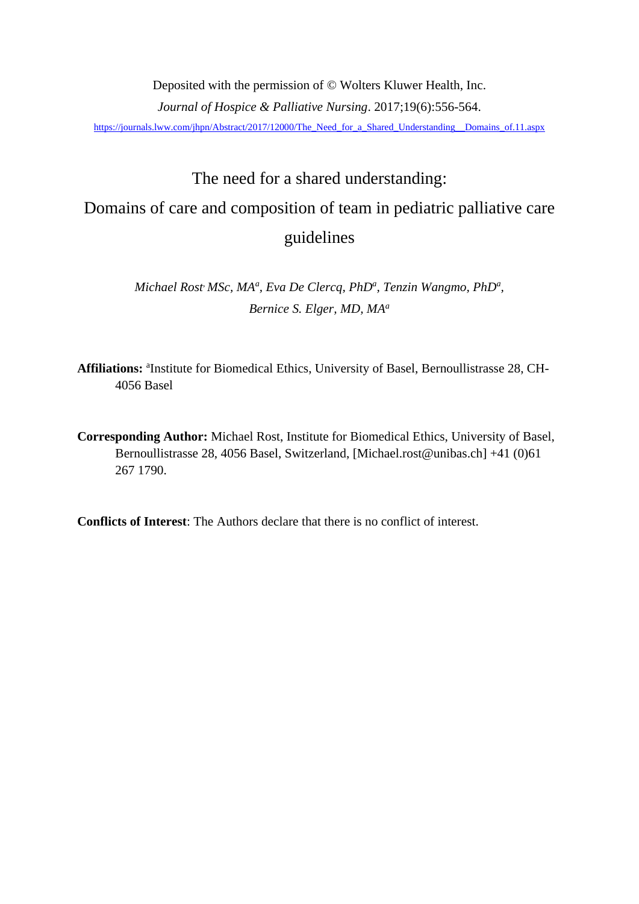Deposited with the permission of © Wolters Kluwer Health, Inc. *Journal of Hospice & Palliative Nursing*. 2017;19(6):556-564. [https://journals.lww.com/jhpn/Abstract/2017/12000/The\\_Need\\_for\\_a\\_Shared\\_Understanding\\_\\_Domains\\_of.11.aspx](https://journals.lww.com/jhpn/Abstract/2017/12000/The_Need_for_a_Shared_Understanding__Domains_of.11.aspx)

# The need for a shared understanding: Domains of care and composition of team in pediatric palliative care guidelines

*Michael Rost, MSc, MA<sup>a</sup> , Eva De Clercq, PhD<sup>a</sup> , Tenzin Wangmo, PhD<sup>a</sup> , Bernice S. Elger, MD, MA<sup>a</sup>*

Affiliations: <sup>a</sup>Institute for Biomedical Ethics, University of Basel, Bernoullistrasse 28, CH-4056 Basel

**Corresponding Author:** Michael Rost, Institute for Biomedical Ethics, University of Basel, Bernoullistrasse 28, 4056 Basel, Switzerland, [Michael.rost@unibas.ch] +41 (0)61 267 1790.

**Conflicts of Interest**: The Authors declare that there is no conflict of interest.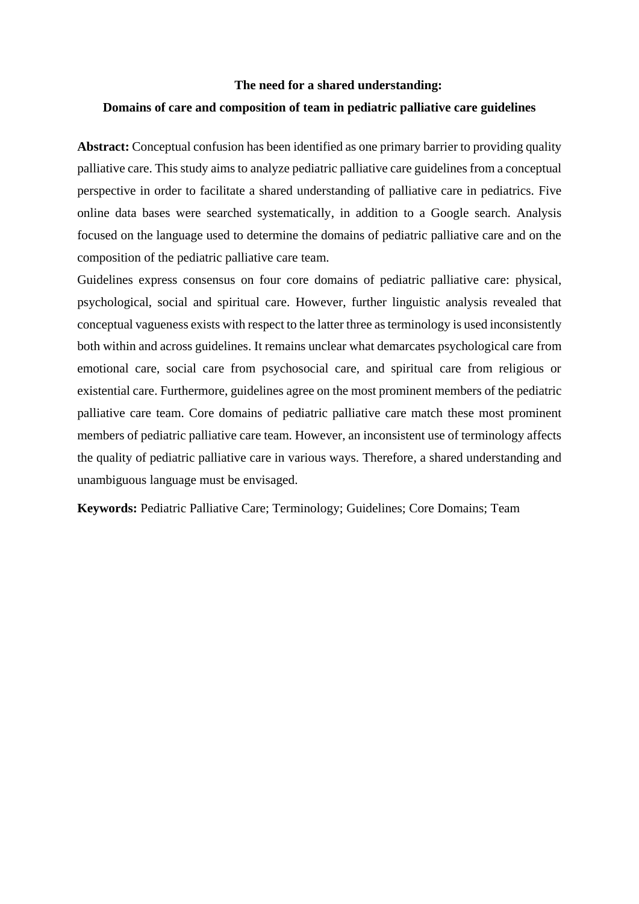# **The need for a shared understanding: Domains of care and composition of team in pediatric palliative care guidelines**

**Abstract:** Conceptual confusion has been identified as one primary barrier to providing quality palliative care. This study aims to analyze pediatric palliative care guidelines from a conceptual perspective in order to facilitate a shared understanding of palliative care in pediatrics. Five online data bases were searched systematically, in addition to a Google search. Analysis focused on the language used to determine the domains of pediatric palliative care and on the composition of the pediatric palliative care team.

Guidelines express consensus on four core domains of pediatric palliative care: physical, psychological, social and spiritual care. However, further linguistic analysis revealed that conceptual vagueness exists with respect to the latter three asterminology is used inconsistently both within and across guidelines. It remains unclear what demarcates psychological care from emotional care, social care from psychosocial care, and spiritual care from religious or existential care. Furthermore, guidelines agree on the most prominent members of the pediatric palliative care team. Core domains of pediatric palliative care match these most prominent members of pediatric palliative care team. However, an inconsistent use of terminology affects the quality of pediatric palliative care in various ways. Therefore, a shared understanding and unambiguous language must be envisaged.

**Keywords:** Pediatric Palliative Care; Terminology; Guidelines; Core Domains; Team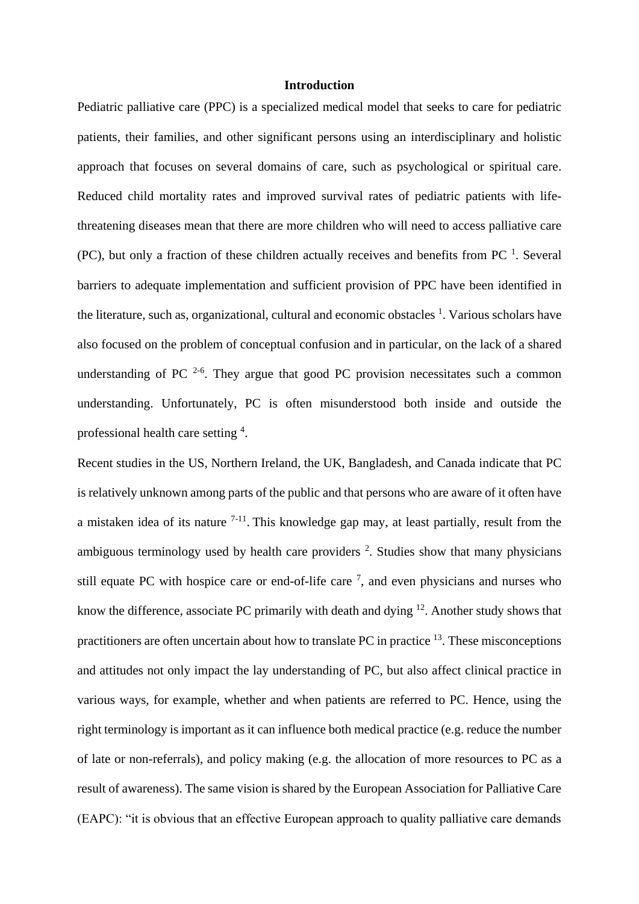#### **Introduction**

Pediatric palliative care (PPC) is a specialized medical model that seeks to care for pediatric patients, their families, and other significant persons using an interdisciplinary and holistic approach that focuses on several domains of care, such as psychological or spiritual care. Reduced child mortality rates and improved survival rates of pediatric patients with lifethreatening diseases mean that there are more children who will need to access palliative care (PC), but only a fraction of these children actually receives and benefits from PC<sup>[1](#page-19-0)</sup>. Several barriers to adequate implementation and sufficient provision of PPC have been identified in the literature, such as, organizational, cultural and economic obstacles <sup>[1](#page-19-0)</sup>[.](#page-19-0) Various scholars have also focused on the problem of conceptual confusion and in particular, on the lack of a shared understanding of PC  $2-6$ . They argue that good PC provision necessitates such a common understanding. Unfortunately, PC is often misunderstood both inside and outside the professional health care setting <sup>[4](#page-19-2)</sup>.

Recent studies in the US, Northern Ireland, the UK, Bangladesh, and Canada indicate that PC is relatively unknown among parts of the public and that persons who are aware of it often have a mistaken idea of its nature  $7-11$ . This knowledge gap may, at least partially, result from the ambiguous terminology used by health care providers  $2$ . Studies show that many physicians still equate PC with hospice care or end-of-life care  $<sup>7</sup>$ [,](#page-19-3) and even physicians and nurses who</sup> know the difference, associate PC primarily with death and dying  $12$ . Another study shows that practitioners are often uncertain about how to translate PC in practice  $13$ . These misconceptions and attitudes not only impact the lay understanding of PC, but also affect clinical practice in various ways, for example, whether and when patients are referred to PC. Hence, using the right terminology is important as it can influence both medical practice (e.g. reduce the number of late or non-referrals), and policy making (e.g. the allocation of more resources to PC as a result of awareness). The same vision is shared by the European Association for Palliative Care (EAPC): "it is obvious that an effective European approach to quality palliative care demands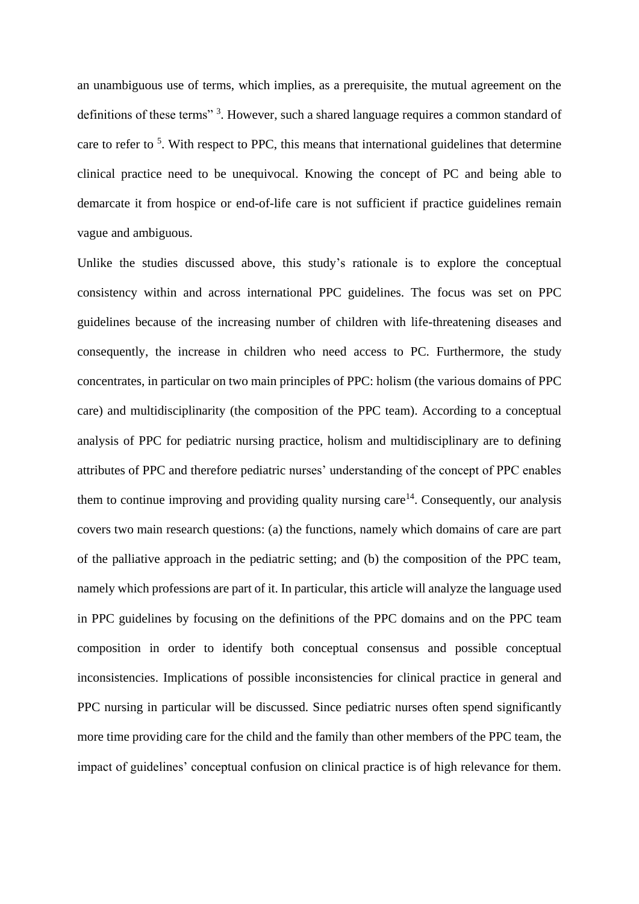an unambiguous use of terms, which implies, as a prerequisite, the mutual agreement on the definitionsof these terms"<sup>3</sup>. However, such a shared language requires a common standard of care to refer to <sup>[5](#page-19-7)</sup>. With respect to PPC, this means that international guidelines that determine clinical practice need to be unequivocal. Knowing the concept of PC and being able to demarcate it from hospice or end-of-life care is not sufficient if practice guidelines remain vague and ambiguous.

Unlike the studies discussed above, this study's rationale is to explore the conceptual consistency within and across international PPC guidelines. The focus was set on PPC guidelines because of the increasing number of children with life-threatening diseases and consequently, the increase in children who need access to PC. Furthermore, the study concentrates, in particular on two main principles of PPC: holism (the various domains of PPC care) and multidisciplinarity (the composition of the PPC team). According to a conceptual analysis of PPC for pediatric nursing practice, holism and multidisciplinary are to defining attributes of PPC and therefore pediatric nurses' understanding of the concept of PPC enables them to continue improving and providing quality nursing care $14$ . Consequently, our analysis covers two main research questions: (a) the functions, namely which domains of care are part of the palliative approach in the pediatric setting; and (b) the composition of the PPC team, namely which professions are part of it. In particular, this article will analyze the language used in PPC guidelines by focusing on the definitions of the PPC domains and on the PPC team composition in order to identify both conceptual consensus and possible conceptual inconsistencies. Implications of possible inconsistencies for clinical practice in general and PPC nursing in particular will be discussed. Since pediatric nurses often spend significantly more time providing care for the child and the family than other members of the PPC team, the impact of guidelines' conceptual confusion on clinical practice is of high relevance for them.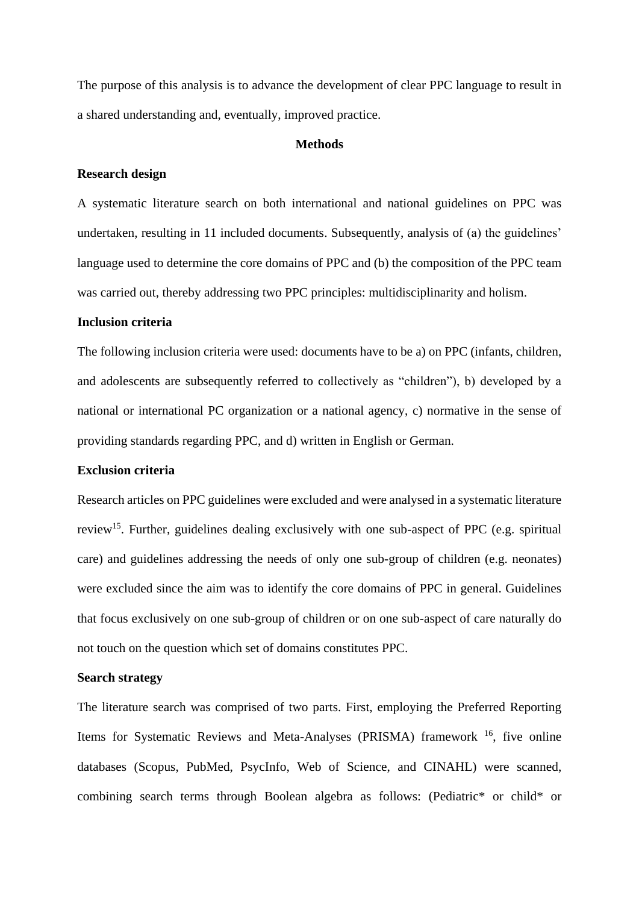The purpose of this analysis is to advance the development of clear PPC language to result in a shared understanding and, eventually, improved practice.

#### **Methods**

#### **Research design**

A systematic literature search on both international and national guidelines on PPC was undertaken, resulting in 11 included documents. Subsequently, analysis of (a) the guidelines' language used to determine the core domains of PPC and (b) the composition of the PPC team was carried out, thereby addressing two PPC principles: multidisciplinarity and holism.

# **Inclusion criteria**

The following inclusion criteria were used: documents have to be a) on PPC (infants, children, and adolescents are subsequently referred to collectively as "children"), b) developed by a national or international PC organization or a national agency, c) normative in the sense of providing standards regarding PPC, and d) written in English or German.

## **Exclusion criteria**

Research articles on PPC guidelines were excluded and were analysed in a systematic literature review<sup>[15](#page-19-9)</sup>. Further, guidelines dealing exclusively with one sub-aspect of PPC (e.g. spiritual care) and guidelines addressing the needs of only one sub-group of children (e.g. neonates) were excluded since the aim was to identify the core domains of PPC in general. Guidelines that focus exclusively on one sub-group of children or on one sub-aspect of care naturally do not touch on the question which set of domains constitutes PPC.

#### **Search strategy**

The literature search was comprised of two parts. First, employing the Preferred Reporting Items for Systematic Reviews and Meta-Analyses (PRISMA) framework <sup>[16](#page-19-10)</sup>, five online databases (Scopus, PubMed, PsycInfo, Web of Science, and CINAHL) were scanned, combining search terms through Boolean algebra as follows: (Pediatric\* or child\* or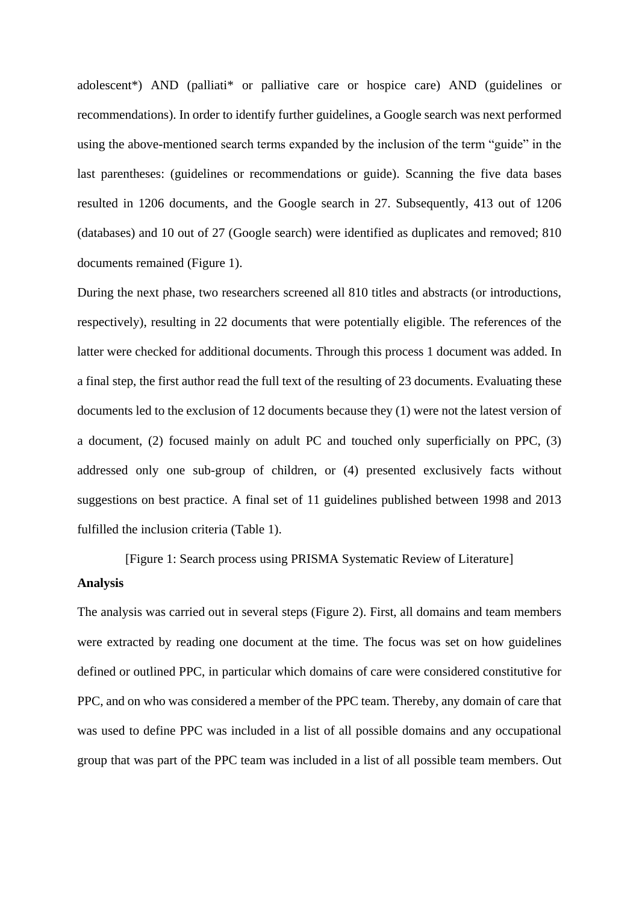adolescent\*) AND (palliati\* or palliative care or hospice care) AND (guidelines or recommendations). In order to identify further guidelines, a Google search was next performed using the above-mentioned search terms expanded by the inclusion of the term "guide" in the last parentheses: (guidelines or recommendations or guide). Scanning the five data bases resulted in 1206 documents, and the Google search in 27. Subsequently, 413 out of 1206 (databases) and 10 out of 27 (Google search) were identified as duplicates and removed; 810 documents remained (Figure 1).

During the next phase, two researchers screened all 810 titles and abstracts (or introductions, respectively), resulting in 22 documents that were potentially eligible. The references of the latter were checked for additional documents. Through this process 1 document was added. In a final step, the first author read the full text of the resulting of 23 documents. Evaluating these documents led to the exclusion of 12 documents because they (1) were not the latest version of a document, (2) focused mainly on adult PC and touched only superficially on PPC, (3) addressed only one sub-group of children, or (4) presented exclusively facts without suggestions on best practice. A final set of 11 guidelines published between 1998 and 2013 fulfilled the inclusion criteria (Table 1).

# [Figure 1: Search process using PRISMA Systematic Review of Literature] **Analysis**

The analysis was carried out in several steps (Figure 2). First, all domains and team members were extracted by reading one document at the time. The focus was set on how guidelines defined or outlined PPC, in particular which domains of care were considered constitutive for PPC, and on who was considered a member of the PPC team. Thereby, any domain of care that was used to define PPC was included in a list of all possible domains and any occupational group that was part of the PPC team was included in a list of all possible team members. Out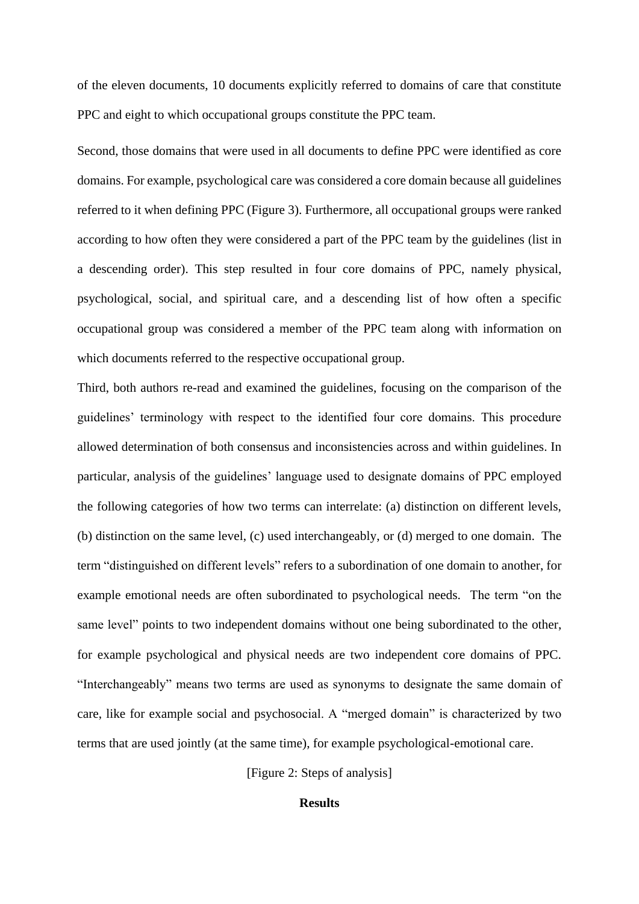of the eleven documents, 10 documents explicitly referred to domains of care that constitute PPC and eight to which occupational groups constitute the PPC team.

Second, those domains that were used in all documents to define PPC were identified as core domains. For example, psychological care was considered a core domain because all guidelines referred to it when defining PPC (Figure 3). Furthermore, all occupational groups were ranked according to how often they were considered a part of the PPC team by the guidelines (list in a descending order). This step resulted in four core domains of PPC, namely physical, psychological, social, and spiritual care, and a descending list of how often a specific occupational group was considered a member of the PPC team along with information on which documents referred to the respective occupational group.

Third, both authors re-read and examined the guidelines, focusing on the comparison of the guidelines' terminology with respect to the identified four core domains. This procedure allowed determination of both consensus and inconsistencies across and within guidelines. In particular, analysis of the guidelines' language used to designate domains of PPC employed the following categories of how two terms can interrelate: (a) distinction on different levels, (b) distinction on the same level, (c) used interchangeably, or (d) merged to one domain. The term "distinguished on different levels" refers to a subordination of one domain to another, for example emotional needs are often subordinated to psychological needs. The term "on the same level" points to two independent domains without one being subordinated to the other, for example psychological and physical needs are two independent core domains of PPC. "Interchangeably" means two terms are used as synonyms to designate the same domain of care, like for example social and psychosocial. A "merged domain" is characterized by two terms that are used jointly (at the same time), for example psychological-emotional care.

[Figure 2: Steps of analysis]

#### **Results**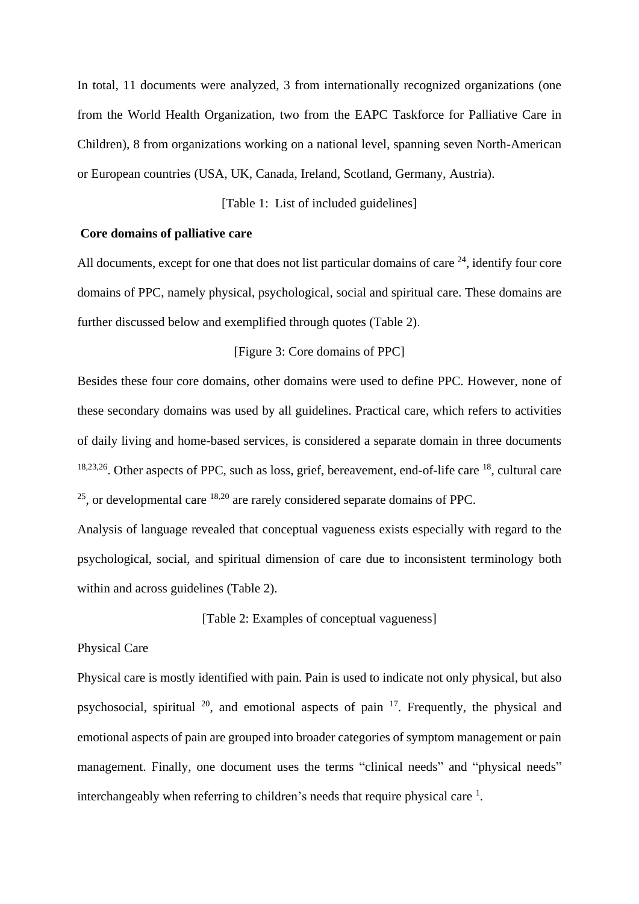In total, 11 documents were analyzed, 3 from internationally recognized organizations (one from the World Health Organization, two from the EAPC Taskforce for Palliative Care in Children), 8 from organizations working on a national level, spanning seven North-American or European countries (USA, UK, Canada, Ireland, Scotland, Germany, Austria).

[Table 1: List of included guidelines]

#### **Core domains of palliative care**

All documents, except for one that does not list particular domains of care  $24$ , identify four core domains of PPC, namely physical, psychological, social and spiritual care. These domains are further discussed below and exemplified through quotes (Table 2).

#### [Figure 3: Core domains of PPC]

Besides these four core domains, other domains were used to define PPC. However, none of these secondary domains was used by all guidelines. Practical care, which refers to activities of daily living and home-based services, is considered a separate domain in three documents [18](#page-19-11)[,23](#page-20-1)[,26](#page-20-2). Other aspects of PPC, such as loss, grief, bereavement, end-of-life care [18](#page-19-11), cultural care <sup>[25](#page-20-3)</sup>, or developmental care <sup>[18,](#page-19-11)[20](#page-19-12)</sup> are rarely considered separate domains of PPC.

Analysis of language revealed that conceptual vagueness exists especially with regard to the psychological, social, and spiritual dimension of care due to inconsistent terminology both within and across guidelines (Table 2).

[Table 2: Examples of conceptual vagueness]

#### Physical Care

Physical care is mostly identified with pain. Pain is used to indicate not only physical, but also psychosocial, spiritual  $20$ , and emotional aspects of pain  $17$ . Frequently, the physical and emotional aspects of pain are grouped into broader categories of symptom management or pain management. Finally, one document uses the terms "clinical needs" and "physical needs" interchangeably when referring to children's needs that require physical care  $<sup>1</sup>$  $<sup>1</sup>$  $<sup>1</sup>$ .</sup>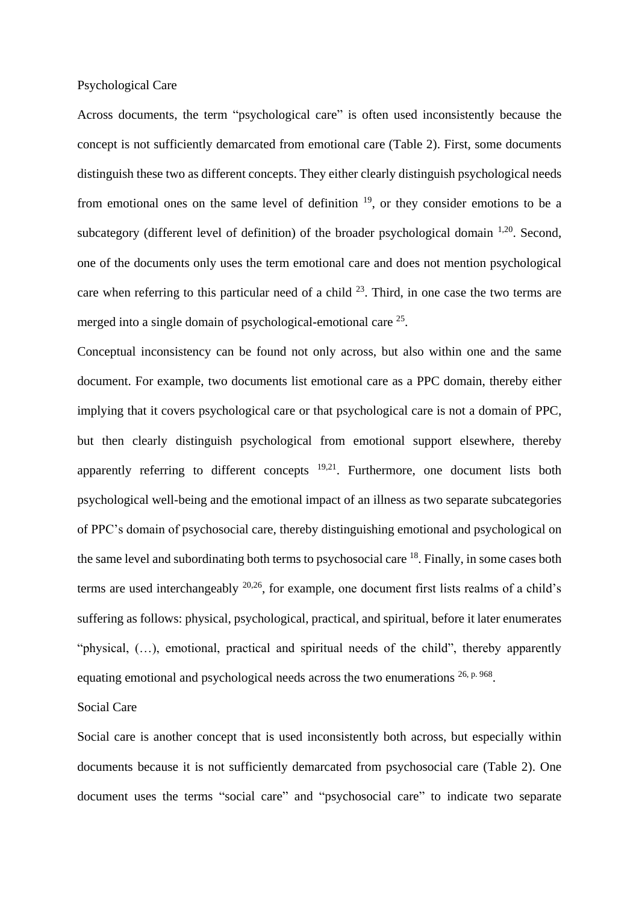#### Psychological Care

Across documents, the term "psychological care" is often used inconsistently because the concept is not sufficiently demarcated from emotional care (Table 2). First, some documents distinguish these two as different concepts. They either clearly distinguish psychological needs from emotional ones on the same level of definition  $19$ , or they consider emotions to be a subcategory (different level of definition) of the broader psychological domain  $1,20$  $1,20$ . Second, one of the documents only uses the term emotional care and does not mention psychological care when referring to this particular need of a child  $^{23}$  $^{23}$  $^{23}$ . Third, in one case the two terms are merged into a single domain of psychological-emotional care <sup>[25](#page-20-3)</sup>.

Conceptual inconsistency can be found not only across, but also within one and the same document. For example, two documents list emotional care as a PPC domain, thereby either implying that it covers psychological care or that psychological care is not a domain of PPC, but then clearly distinguish psychological from emotional support elsewhere, thereby apparently referring to different concepts  $19,21$  $19,21$ . Furthermore, one document lists both psychological well-being and the emotional impact of an illness as two separate subcategories of PPC's domain of psychosocial care, thereby distinguishing emotional and psychological on the same level and subordinating both terms to psychosocial care <sup>[18](#page-19-11)</sup>. Finally, in some cases both terms are used interchangeably  $20,26$  $20,26$ , for example, one document first lists realms of a child's suffering as follows: physical, psychological, practical, and spiritual, before it later enumerates "physical, (…), emotional, practical and spiritual needs of the child", thereby apparently equating emotional and psychological needs across the two enumerations  $26$ , p. 968.

#### Social Care

Social care is another concept that is used inconsistently both across, but especially within documents because it is not sufficiently demarcated from psychosocial care (Table 2). One document uses the terms "social care" and "psychosocial care" to indicate two separate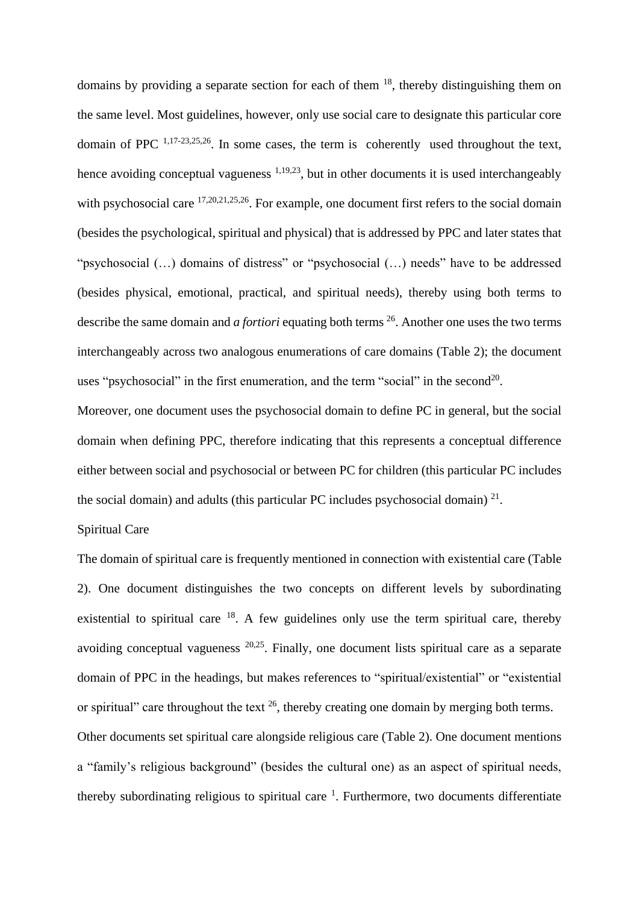domains by providing a separate section for each of them  $18$ , thereby distinguishing them on the same level. Most guidelines, however, only use social care to designate this particular core domain of PPC  $^{1,17-23,25,26}$  $^{1,17-23,25,26}$  $^{1,17-23,25,26}$  $^{1,17-23,25,26}$  $^{1,17-23,25,26}$  $^{1,17-23,25,26}$ . In some cases, the term is coherently used throughout the text, hence avoiding conceptual vagueness  $1,19,23$  $1,19,23$  $1,19,23$ , but in other documents it is used interchangeably with psychosocial care  $^{17,20,21,25,26}$  $^{17,20,21,25,26}$  $^{17,20,21,25,26}$  $^{17,20,21,25,26}$  $^{17,20,21,25,26}$  $^{17,20,21,25,26}$  $^{17,20,21,25,26}$ . For example, one document first refers to the social domain (besides the psychological, spiritual and physical) that is addressed by PPC and later states that "psychosocial (…) domains of distress" or "psychosocial (…) needs" have to be addressed (besides physical, emotional, practical, and spiritual needs), thereby using both terms to describe the same domain and *a fortiori* equating both terms <sup>[26](#page-20-2)</sup>. Another one uses the two terms interchangeably across two analogous enumerations of care domains (Table 2); the document uses "psychosocial" in the first enumeration, and the term "social" in the second<sup>[20](#page-19-12)</sup>.

Moreover, one document uses the psychosocial domain to define PC in general, but the social domain when defining PPC, therefore indicating that this represents a conceptual difference either between social and psychosocial or between PC for children (this particular PC includes the social domain) and adults (this particular PC includes psychosocial domain)  $2<sup>1</sup>$ .

# Spiritual Care

The domain of spiritual care is frequently mentioned in connection with existential care (Table 2). One document distinguishes the two concepts on different levels by subordinating existential to spiritual care  $18$ . A few guidelines only use the term spiritual care, thereby avoiding conceptual vagueness [20,](#page-19-12)[25](#page-20-3). Finally, one document lists spiritual care as a separate domain of PPC in the headings, but makes references to "spiritual/existential" or "existential or spiritual" care throughout the text  $^{26}$  $^{26}$  $^{26}$ , thereby creating one domain by merging both terms. Other documents set spiritual care alongside religious care (Table 2). One document mentions a "family's religious background" (besides the cultural one) as an aspect of spiritual needs, thereby subordinating religious to spiritual care  $1$ . Furthermore, two documents differentiate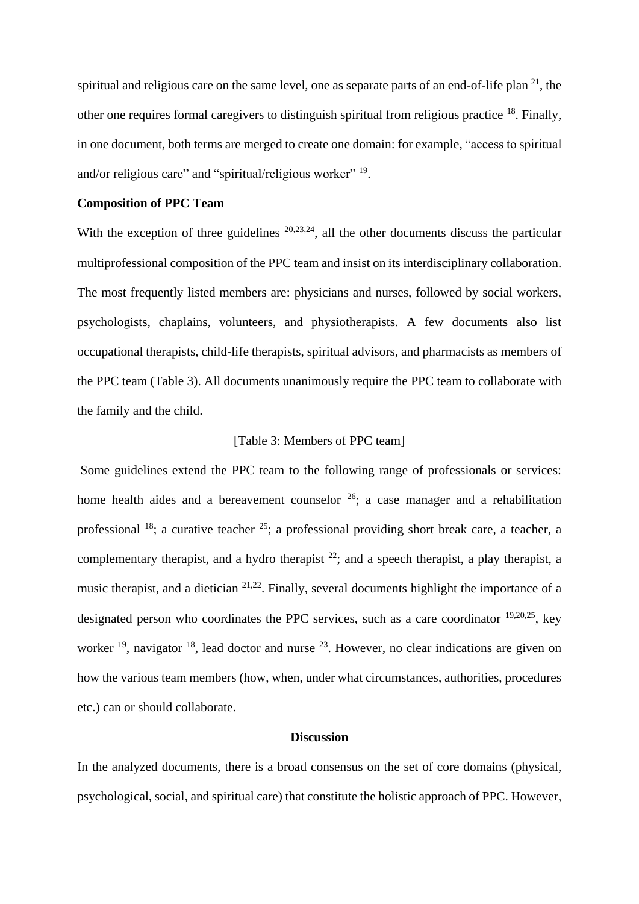spiritual and religious care on the same level, one as separate parts of an end-of-life plan  $21$ , the other one requires formal caregivers to distinguish spiritual from religious practice [18](#page-19-11). Finally, in one document, both terms are merged to create one domain: for example, "access to spiritual and/or religious care" and "spiritual/religious worker" <sup>[19](#page-19-14)</sup>.

#### **Composition of PPC Team**

With the exception of three guidelines  $20,23,24$  $20,23,24$  $20,23,24$ , all the other documents discuss the particular multiprofessional composition of the PPC team and insist on its interdisciplinary collaboration. The most frequently listed members are: physicians and nurses, followed by social workers, psychologists, chaplains, volunteers, and physiotherapists. A few documents also list occupational therapists, child-life therapists, spiritual advisors, and pharmacists as members of the PPC team (Table 3). All documents unanimously require the PPC team to collaborate with the family and the child.

## [Table 3: Members of PPC team]

Some guidelines extend the PPC team to the following range of professionals or services: home health aides and a bereavement counselor  $26$ ; a case manager and a rehabilitation professional  $^{18}$  $^{18}$  $^{18}$ ; a curative teacher  $^{25}$  $^{25}$  $^{25}$ ; a professional providing short break care, a teacher, a complementary therapist, and a hydro therapist  $^{22}$  $^{22}$  $^{22}$ ; and a speech therapist, a play therapist, a music therapist, and a dietician  $2^{1,22}$  $2^{1,22}$  $2^{1,22}$ . Finally, several documents highlight the importance of a designated person who coordinates the PPC services, such as a care coordinator  $^{19,20,25}$  $^{19,20,25}$  $^{19,20,25}$  $^{19,20,25}$  $^{19,20,25}$ , key worker  $^{19}$  $^{19}$  $^{19}$ , navigator  $^{18}$  $^{18}$  $^{18}$ , lead doctor and nurse  $^{23}$  $^{23}$  $^{23}$ . However, no clear indications are given on how the various team members (how, when, under what circumstances, authorities, procedures etc.) can or should collaborate.

# **Discussion**

In the analyzed documents, there is a broad consensus on the set of core domains (physical, psychological, social, and spiritual care) that constitute the holistic approach of PPC. However,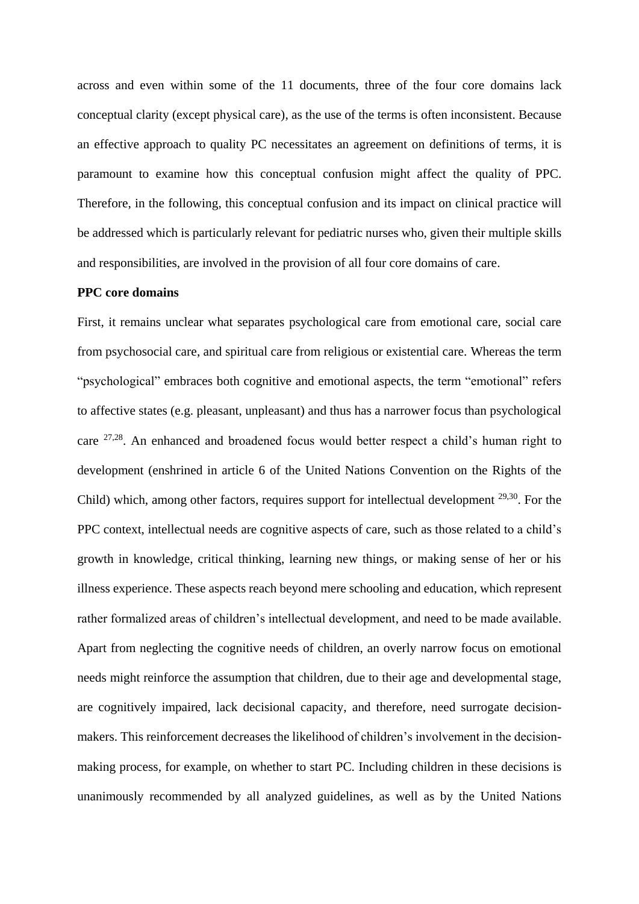across and even within some of the 11 documents, three of the four core domains lack conceptual clarity (except physical care), as the use of the terms is often inconsistent. Because an effective approach to quality PC necessitates an agreement on definitions of terms, it is paramount to examine how this conceptual confusion might affect the quality of PPC. Therefore, in the following, this conceptual confusion and its impact on clinical practice will be addressed which is particularly relevant for pediatric nurses who, given their multiple skills and responsibilities, are involved in the provision of all four core domains of care.

#### **PPC core domains**

First, it remains unclear what separates psychological care from emotional care, social care from psychosocial care, and spiritual care from religious or existential care. Whereas the term "psychological" embraces both cognitive and emotional aspects, the term "emotional" refers to affective states (e.g. pleasant, unpleasant) and thus has a narrower focus than psychological care  $27.28$  $27.28$ . An enhanced and broadened focus would better respect a child's human right to development (enshrined in article 6 of the United Nations Convention on the Rights of the Child) which, among other factors, requires support for intellectual development <sup>[29,](#page-20-7)[30](#page-20-8)</sup>. For the PPC context, intellectual needs are cognitive aspects of care, such as those related to a child's growth in knowledge, critical thinking, learning new things, or making sense of her or his illness experience. These aspects reach beyond mere schooling and education, which represent rather formalized areas of children's intellectual development, and need to be made available. Apart from neglecting the cognitive needs of children, an overly narrow focus on emotional needs might reinforce the assumption that children, due to their age and developmental stage, are cognitively impaired, lack decisional capacity, and therefore, need surrogate decisionmakers. This reinforcement decreases the likelihood of children's involvement in the decisionmaking process, for example, on whether to start PC. Including children in these decisions is unanimously recommended by all analyzed guidelines, as well as by the United Nations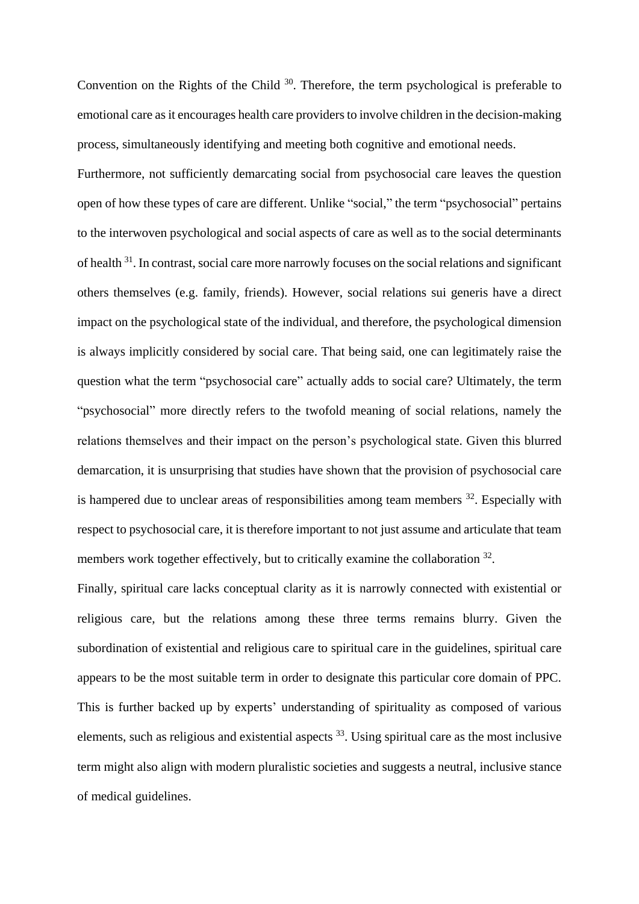Convention on the Rights of the Child  $30$ . Therefore, the term psychological is preferable to emotional care as it encourages health care providers to involve children in the decision-making process, simultaneously identifying and meeting both cognitive and emotional needs.

Furthermore, not sufficiently demarcating social from psychosocial care leaves the question open of how these types of care are different. Unlike "social," the term "psychosocial" pertains to the interwoven psychological and social aspects of care as well as to the social determinants of health <sup>[31](#page-20-9)</sup>[.](#page-20-9) In contrast, social care more narrowly focuses on the social relations and significant others themselves (e.g. family, friends). However, social relations sui generis have a direct impact on the psychological state of the individual, and therefore, the psychological dimension is always implicitly considered by social care. That being said, one can legitimately raise the question what the term "psychosocial care" actually adds to social care? Ultimately, the term "psychosocial" more directly refers to the twofold meaning of social relations, namely the relations themselves and their impact on the person's psychological state. Given this blurred demarcation, it is unsurprising that studies have shown that the provision of psychosocial care is hampered due to unclear areas of responsibilities among team members  $32$ . Especially with respect to psychosocial care, it is therefore important to not just assume and articulate that team members work together effectively, but to critically examine the collaboration <sup>[32](#page-20-10)</sup>.

Finally, spiritual care lacks conceptual clarity as it is narrowly connected with existential or religious care, but the relations among these three terms remains blurry. Given the subordination of existential and religious care to spiritual care in the guidelines, spiritual care appears to be the most suitable term in order to designate this particular core domain of PPC. This is further backed up by experts' understanding of spirituality as composed of various elements, such as religious and existential aspects  $33$ . Using spiritual care as the most inclusive term might also align with modern pluralistic societies and suggests a neutral, inclusive stance of medical guidelines.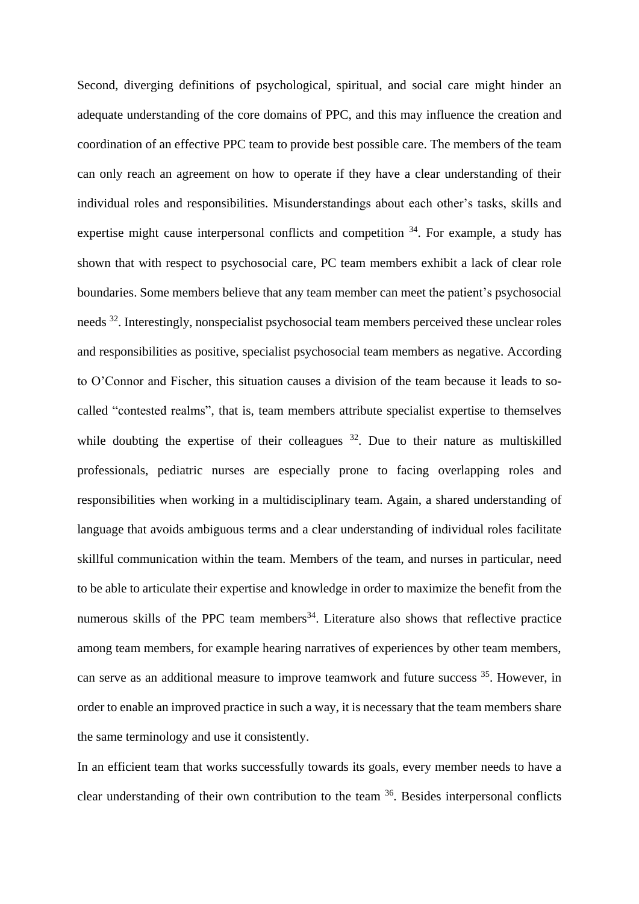Second, diverging definitions of psychological, spiritual, and social care might hinder an adequate understanding of the core domains of PPC, and this may influence the creation and coordination of an effective PPC team to provide best possible care. The members of the team can only reach an agreement on how to operate if they have a clear understanding of their individual roles and responsibilities. Misunderstandings about each other's tasks, skills and expertise might cause interpersonal conflicts and competition <sup>[34](#page-20-12)</sup>. For example, a study has shown that with respect to psychosocial care, PC team members exhibit a lack of clear role boundaries. Some members believe that any team member can meet the patient's psychosocial needs <sup>[32](#page-20-10)</sup>. Interestingly, nonspecialist psychosocial team members perceived these unclear roles and responsibilities as positive, specialist psychosocial team members as negative. According to O'Connor and Fischer, this situation causes a division of the team because it leads to socalled "contested realms", that is, team members attribute specialist expertise to themselves while doubting the expertise of their colleagues  $32$ . Due to their nature as multiskilled professionals, pediatric nurses are especially prone to facing overlapping roles and responsibilities when working in a multidisciplinary team. Again, a shared understanding of language that avoids ambiguous terms and a clear understanding of individual roles facilitate skillful communication within the team. Members of the team, and nurses in particular, need to be able to articulate their expertise and knowledge in order to maximize the benefit from the numerous skills of the PPC team members<sup>[34](#page-20-12)</sup>. Literature also shows that reflective practice among team members, for example hearing narratives of experiences by other team members, can serve as an additional measure to improve teamwork and future success [35](#page-20-13). However, in order to enable an improved practice in such a way, it is necessary that the team members share the same terminology and use it consistently.

In an efficient team that works successfully towards its goals, every member needs to have a clear understanding of their own contribution to the team  $36$ . Besides interpersonal conflicts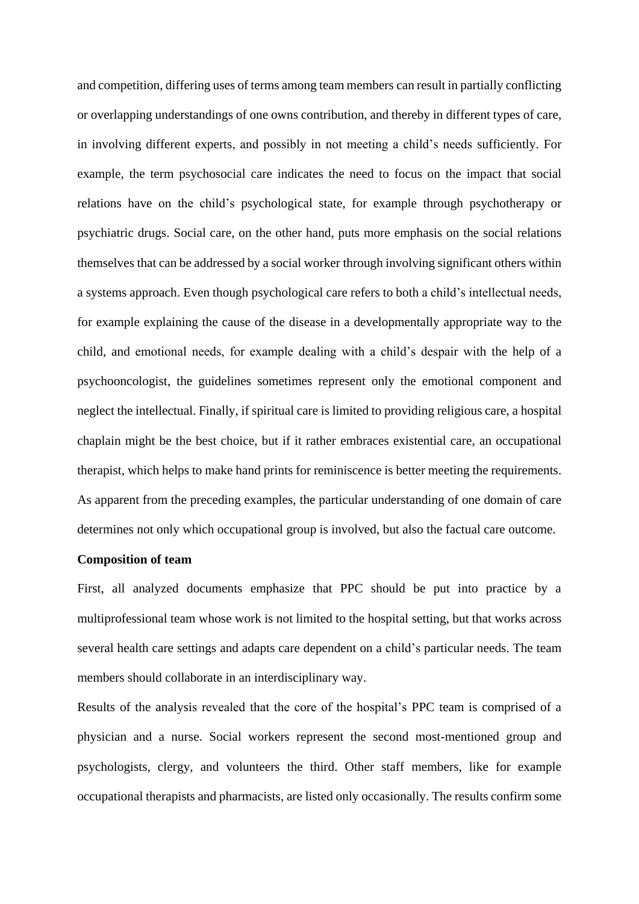and competition, differing uses of terms among team members can result in partially conflicting or overlapping understandings of one owns contribution, and thereby in different types of care, in involving different experts, and possibly in not meeting a child's needs sufficiently. For example, the term psychosocial care indicates the need to focus on the impact that social relations have on the child's psychological state, for example through psychotherapy or psychiatric drugs. Social care, on the other hand, puts more emphasis on the social relations themselves that can be addressed by a social worker through involving significant others within a systems approach. Even though psychological care refers to both a child's intellectual needs, for example explaining the cause of the disease in a developmentally appropriate way to the child, and emotional needs, for example dealing with a child's despair with the help of a psychooncologist, the guidelines sometimes represent only the emotional component and neglect the intellectual. Finally, if spiritual care is limited to providing religious care, a hospital chaplain might be the best choice, but if it rather embraces existential care, an occupational therapist, which helps to make hand prints for reminiscence is better meeting the requirements. As apparent from the preceding examples, the particular understanding of one domain of care determines not only which occupational group is involved, but also the factual care outcome.

# **Composition of team**

First, all analyzed documents emphasize that PPC should be put into practice by a multiprofessional team whose work is not limited to the hospital setting, but that works across several health care settings and adapts care dependent on a child's particular needs. The team members should collaborate in an interdisciplinary way.

Results of the analysis revealed that the core of the hospital's PPC team is comprised of a physician and a nurse. Social workers represent the second most-mentioned group and psychologists, clergy, and volunteers the third. Other staff members, like for example occupational therapists and pharmacists, are listed only occasionally. The results confirm some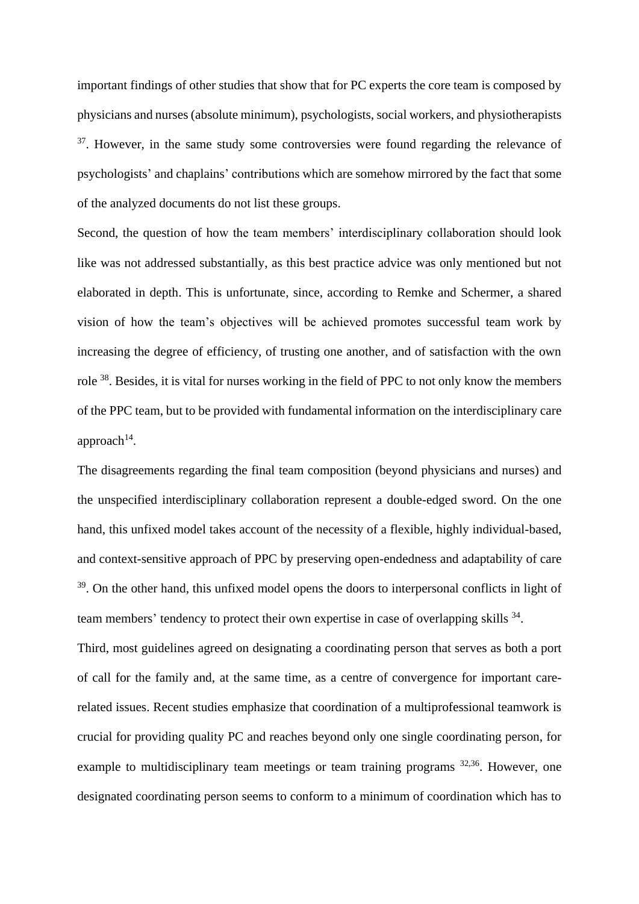important findings of other studies that show that for PC experts the core team is composed by physicians and nurses (absolute minimum), psychologists, social workers, and physiotherapists <sup>[37](#page-20-15)</sup>. However, in the same study some controversies were found regarding the relevance of psychologists' and chaplains' contributions which are somehow mirrored by the fact that some of the analyzed documents do not list these groups.

Second, the question of how the team members' interdisciplinary collaboration should look like was not addressed substantially, as this best practice advice was only mentioned but not elaborated in depth. This is unfortunate, since, according to Remke and Schermer, a shared vision of how the team's objectives will be achieved promotes successful team work by increasing the degree of efficiency, of trusting one another, and of satisfaction with the own role <sup>[38](#page-20-16)</sup>. Besides, it is vital for nurses working in the field of PPC to not only know the members of the PPC team, but to be provided with fundamental information on the interdisciplinary care approach $14$ .

The disagreements regarding the final team composition (beyond physicians and nurses) and the unspecified interdisciplinary collaboration represent a double-edged sword. On the one hand, this unfixed model takes account of the necessity of a flexible, highly individual-based, and context-sensitive approach of PPC by preserving open-endedness and adaptability of care <sup>[39](#page-20-17)</sup>[.](#page-20-17) On the other hand, this unfixed model opens the doors to interpersonal conflicts in light of team members' tendency to protect their own expertise in case of overlapping skills <sup>[34](#page-20-12)</sup>.

Third, most guidelines agreed on designating a coordinating person that serves as both a port of call for the family and, at the same time, as a centre of convergence for important carerelated issues. Recent studies emphasize that coordination of a multiprofessional teamwork is crucial for providing quality PC and reaches beyond only one single coordinating person, for example to multidisciplinary team meetings or team training programs <sup>[32,](#page-20-10)[36](#page-20-14)</sup>. However, one designated coordinating person seems to conform to a minimum of coordination which has to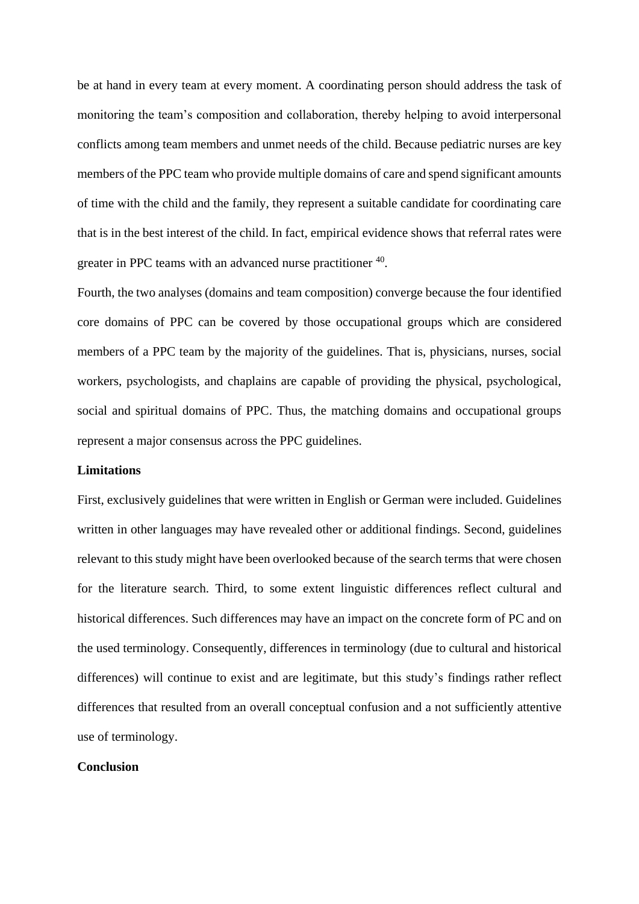be at hand in every team at every moment. A coordinating person should address the task of monitoring the team's composition and collaboration, thereby helping to avoid interpersonal conflicts among team members and unmet needs of the child. Because pediatric nurses are key members of the PPC team who provide multiple domains of care and spend significant amounts of time with the child and the family, they represent a suitable candidate for coordinating care that is in the best interest of the child. In fact, empirical evidence shows that referral rates were greater in PPC teams with an advanced nurse practitioner <sup>[40](#page-20-18)</sup>.

Fourth, the two analyses (domains and team composition) converge because the four identified core domains of PPC can be covered by those occupational groups which are considered members of a PPC team by the majority of the guidelines. That is, physicians, nurses, social workers, psychologists, and chaplains are capable of providing the physical, psychological, social and spiritual domains of PPC. Thus, the matching domains and occupational groups represent a major consensus across the PPC guidelines.

#### **Limitations**

First, exclusively guidelines that were written in English or German were included. Guidelines written in other languages may have revealed other or additional findings. Second, guidelines relevant to this study might have been overlooked because of the search terms that were chosen for the literature search. Third, to some extent linguistic differences reflect cultural and historical differences. Such differences may have an impact on the concrete form of PC and on the used terminology. Consequently, differences in terminology (due to cultural and historical differences) will continue to exist and are legitimate, but this study's findings rather reflect differences that resulted from an overall conceptual confusion and a not sufficiently attentive use of terminology.

#### **Conclusion**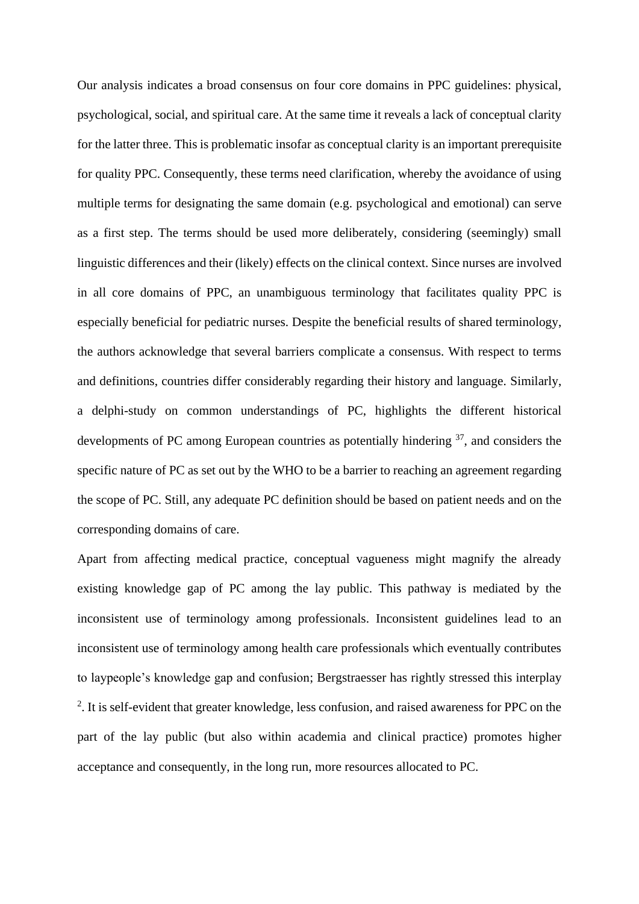Our analysis indicates a broad consensus on four core domains in PPC guidelines: physical, psychological, social, and spiritual care. At the same time it reveals a lack of conceptual clarity for the latter three. This is problematic insofar as conceptual clarity is an important prerequisite for quality PPC. Consequently, these terms need clarification, whereby the avoidance of using multiple terms for designating the same domain (e.g. psychological and emotional) can serve as a first step. The terms should be used more deliberately, considering (seemingly) small linguistic differences and their (likely) effects on the clinical context. Since nurses are involved in all core domains of PPC, an unambiguous terminology that facilitates quality PPC is especially beneficial for pediatric nurses. Despite the beneficial results of shared terminology, the authors acknowledge that several barriers complicate a consensus. With respect to terms and definitions, countries differ considerably regarding their history and language. Similarly, a delphi-study on common understandings of PC, highlights the different historical developments of PC among European countries as potentially hindering <sup>[37](#page-20-15)</sup>, and considers the specific nature of PC as set out by the WHO to be a barrier to reaching an agreement regarding the scope of PC. Still, any adequate PC definition should be based on patient needs and on the corresponding domains of care.

Apart from affecting medical practice, conceptual vagueness might magnify the already existing knowledge gap of PC among the lay public. This pathway is mediated by the inconsistent use of terminology among professionals. Inconsistent guidelines lead to an inconsistent use of terminology among health care professionals which eventually contributes to laypeople's knowledge gap and confusion; Bergstraesser has rightly stressed this interplay <sup>[2](#page-19-1)</sup>. It is self-evident that greater knowledge, less confusion, and raised awareness for PPC on the part of the lay public (but also within academia and clinical practice) promotes higher acceptance and consequently, in the long run, more resources allocated to PC.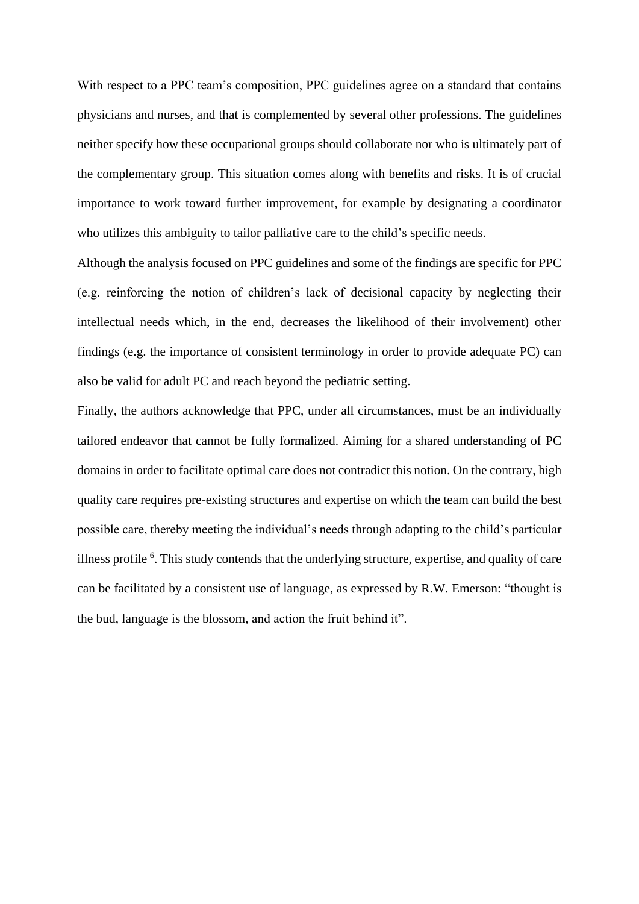With respect to a PPC team's composition, PPC guidelines agree on a standard that contains physicians and nurses, and that is complemented by several other professions. The guidelines neither specify how these occupational groups should collaborate nor who is ultimately part of the complementary group. This situation comes along with benefits and risks. It is of crucial importance to work toward further improvement, for example by designating a coordinator who utilizes this ambiguity to tailor palliative care to the child's specific needs.

Although the analysis focused on PPC guidelines and some of the findings are specific for PPC (e.g. reinforcing the notion of children's lack of decisional capacity by neglecting their intellectual needs which, in the end, decreases the likelihood of their involvement) other findings (e.g. the importance of consistent terminology in order to provide adequate PC) can also be valid for adult PC and reach beyond the pediatric setting.

Finally, the authors acknowledge that PPC, under all circumstances, must be an individually tailored endeavor that cannot be fully formalized. Aiming for a shared understanding of PC domains in order to facilitate optimal care does not contradict this notion. On the contrary, high quality care requires pre-existing structures and expertise on which the team can build the best possible care, thereby meeting the individual's needs through adapting to the child's particular illness profil[e](#page-19-16) <sup>6</sup>. This study contends that the underlying structure, expertise, and quality of care can be facilitated by a consistent use of language, as expressed by R.W. Emerson: "thought is the bud, language is the blossom, and action the fruit behind it".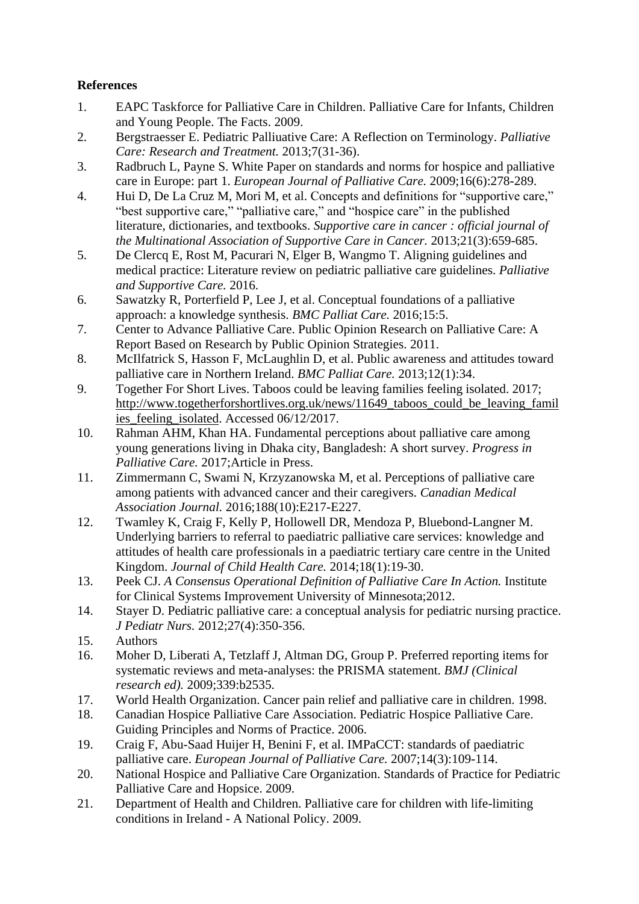# **References**

- <span id="page-19-0"></span>1. EAPC Taskforce for Palliative Care in Children. Palliative Care for Infants, Children and Young People. The Facts. 2009.
- <span id="page-19-1"></span>2. Bergstraesser E. Pediatric Palliuative Care: A Reflection on Terminology. *Palliative Care: Research and Treatment.* 2013;7(31-36).
- <span id="page-19-6"></span>3. Radbruch L, Payne S. White Paper on standards and norms for hospice and palliative care in Europe: part 1. *European Journal of Palliative Care.* 2009;16(6):278-289.
- <span id="page-19-2"></span>4. Hui D, De La Cruz M, Mori M, et al. Concepts and definitions for "supportive care," "best supportive care," "palliative care," and "hospice care" in the published literature, dictionaries, and textbooks. *Supportive care in cancer : official journal of the Multinational Association of Supportive Care in Cancer.* 2013;21(3):659-685.
- <span id="page-19-7"></span>5. De Clercq E, Rost M, Pacurari N, Elger B, Wangmo T. Aligning guidelines and medical practice: Literature review on pediatric palliative care guidelines. *Palliative and Supportive Care.* 2016.
- <span id="page-19-16"></span>6. Sawatzky R, Porterfield P, Lee J, et al. Conceptual foundations of a palliative approach: a knowledge synthesis. *BMC Palliat Care.* 2016;15:5.
- <span id="page-19-3"></span>7. Center to Advance Palliative Care. Public Opinion Research on Palliative Care: A Report Based on Research by Public Opinion Strategies. 2011.
- 8. McIlfatrick S, Hasson F, McLaughlin D, et al. Public awareness and attitudes toward palliative care in Northern Ireland. *BMC Palliat Care.* 2013;12(1):34.
- 9. Together For Short Lives. Taboos could be leaving families feeling isolated. 2017; http://www.togetherforshortlives.org.uk/news/11649 taboos could be leaving famil [ies\\_feeling\\_isolated.](http://www.togetherforshortlives.org.uk/news/11649_taboos_could_be_leaving_families_feeling_isolated) Accessed  $06/12/2017$ .
- 10. Rahman AHM, Khan HA. Fundamental perceptions about palliative care among young generations living in Dhaka city, Bangladesh: A short survey. *Progress in Palliative Care.* 2017;Article in Press.
- 11. Zimmermann C, Swami N, Krzyzanowska M, et al. Perceptions of palliative care among patients with advanced cancer and their caregivers. *Canadian Medical Association Journal.* 2016;188(10):E217-E227.
- <span id="page-19-4"></span>12. Twamley K, Craig F, Kelly P, Hollowell DR, Mendoza P, Bluebond-Langner M. Underlying barriers to referral to paediatric palliative care services: knowledge and attitudes of health care professionals in a paediatric tertiary care centre in the United Kingdom. *Journal of Child Health Care.* 2014;18(1):19-30.
- <span id="page-19-5"></span>13. Peek CJ. *A Consensus Operational Definition of Palliative Care In Action.* Institute for Clinical Systems Improvement University of Minnesota;2012.
- <span id="page-19-8"></span>14. Stayer D. Pediatric palliative care: a conceptual analysis for pediatric nursing practice. *J Pediatr Nurs.* 2012;27(4):350-356.
- <span id="page-19-9"></span>15. Authors
- <span id="page-19-10"></span>16. Moher D, Liberati A, Tetzlaff J, Altman DG, Group P. Preferred reporting items for systematic reviews and meta-analyses: the PRISMA statement. *BMJ (Clinical research ed).* 2009;339:b2535.
- <span id="page-19-13"></span>17. World Health Organization. Cancer pain relief and palliative care in children. 1998.
- <span id="page-19-11"></span>18. Canadian Hospice Palliative Care Association. Pediatric Hospice Palliative Care. Guiding Principles and Norms of Practice. 2006.
- <span id="page-19-14"></span>19. Craig F, Abu-Saad Huijer H, Benini F, et al. IMPaCCT: standards of paediatric palliative care. *European Journal of Palliative Care.* 2007;14(3):109-114.
- <span id="page-19-12"></span>20. National Hospice and Palliative Care Organization. Standards of Practice for Pediatric Palliative Care and Hopsice. 2009.
- <span id="page-19-15"></span>21. Department of Health and Children. Palliative care for children with life-limiting conditions in Ireland - A National Policy. 2009.